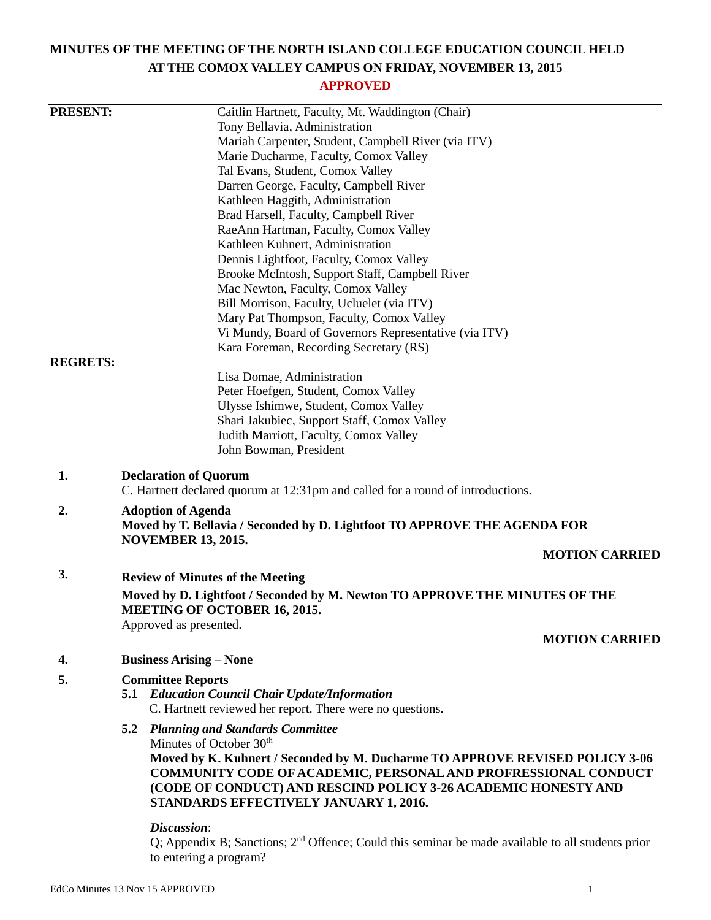# **MINUTES OF THE MEETING OF THE NORTH ISLAND COLLEGE EDUCATION COUNCIL HELD AT THE COMOX VALLEY CAMPUS ON FRIDAY, NOVEMBER 13, 2015**

# **APPROVED**

| <b>PRESENT:</b> | Caitlin Hartnett, Faculty, Mt. Waddington (Chair)                                                                  |                       |  |  |  |  |
|-----------------|--------------------------------------------------------------------------------------------------------------------|-----------------------|--|--|--|--|
|                 | Tony Bellavia, Administration                                                                                      |                       |  |  |  |  |
|                 | Mariah Carpenter, Student, Campbell River (via ITV)                                                                |                       |  |  |  |  |
|                 | Marie Ducharme, Faculty, Comox Valley                                                                              |                       |  |  |  |  |
|                 | Tal Evans, Student, Comox Valley                                                                                   |                       |  |  |  |  |
|                 | Darren George, Faculty, Campbell River                                                                             |                       |  |  |  |  |
|                 | Kathleen Haggith, Administration                                                                                   |                       |  |  |  |  |
|                 | Brad Harsell, Faculty, Campbell River                                                                              |                       |  |  |  |  |
|                 | RaeAnn Hartman, Faculty, Comox Valley                                                                              |                       |  |  |  |  |
|                 | Kathleen Kuhnert, Administration                                                                                   |                       |  |  |  |  |
|                 | Dennis Lightfoot, Faculty, Comox Valley                                                                            |                       |  |  |  |  |
|                 | Brooke McIntosh, Support Staff, Campbell River                                                                     |                       |  |  |  |  |
|                 | Mac Newton, Faculty, Comox Valley                                                                                  |                       |  |  |  |  |
|                 | Bill Morrison, Faculty, Ucluelet (via ITV)                                                                         |                       |  |  |  |  |
|                 | Mary Pat Thompson, Faculty, Comox Valley                                                                           |                       |  |  |  |  |
|                 | Vi Mundy, Board of Governors Representative (via ITV)                                                              |                       |  |  |  |  |
|                 | Kara Foreman, Recording Secretary (RS)                                                                             |                       |  |  |  |  |
| <b>REGRETS:</b> |                                                                                                                    |                       |  |  |  |  |
|                 | Lisa Domae, Administration                                                                                         |                       |  |  |  |  |
|                 | Peter Hoefgen, Student, Comox Valley                                                                               |                       |  |  |  |  |
|                 | Ulysse Ishimwe, Student, Comox Valley                                                                              |                       |  |  |  |  |
|                 | Shari Jakubiec, Support Staff, Comox Valley                                                                        |                       |  |  |  |  |
|                 | Judith Marriott, Faculty, Comox Valley                                                                             |                       |  |  |  |  |
|                 | John Bowman, President                                                                                             |                       |  |  |  |  |
| 1.              | <b>Declaration of Quorum</b><br>C. Hartnett declared quorum at 12:31pm and called for a round of introductions.    |                       |  |  |  |  |
| 2.              | <b>Adoption of Agenda</b>                                                                                          |                       |  |  |  |  |
|                 | Moved by T. Bellavia / Seconded by D. Lightfoot TO APPROVE THE AGENDA FOR                                          |                       |  |  |  |  |
|                 | <b>NOVEMBER 13, 2015.</b>                                                                                          |                       |  |  |  |  |
|                 |                                                                                                                    | <b>MOTION CARRIED</b> |  |  |  |  |
| 3.              | <b>Review of Minutes of the Meeting</b>                                                                            |                       |  |  |  |  |
|                 |                                                                                                                    |                       |  |  |  |  |
|                 | Moved by D. Lightfoot / Seconded by M. Newton TO APPROVE THE MINUTES OF THE<br><b>MEETING OF OCTOBER 16, 2015.</b> |                       |  |  |  |  |
|                 | Approved as presented.                                                                                             |                       |  |  |  |  |
|                 |                                                                                                                    | <b>MOTION CARRIED</b> |  |  |  |  |
| 4.              | <b>Business Arising – None</b>                                                                                     |                       |  |  |  |  |
|                 |                                                                                                                    |                       |  |  |  |  |
| 5.              | <b>Committee Reports</b><br><b>5.1 Education Council Chair Update/Information</b>                                  |                       |  |  |  |  |
|                 | C. Hartnett reviewed her report. There were no questions.                                                          |                       |  |  |  |  |
|                 |                                                                                                                    |                       |  |  |  |  |
|                 | <b>5.2 Planning and Standards Committee</b>                                                                        |                       |  |  |  |  |
|                 | Minutes of October 30 <sup>th</sup>                                                                                |                       |  |  |  |  |
|                 | Moved by K. Kuhnert / Seconded by M. Ducharme TO APPROVE REVISED POLICY 3-06                                       |                       |  |  |  |  |
|                 | <b>COMMUNITY CODE OF ACADEMIC, PERSONAL AND PROFRESSIONAL CONDUCT</b>                                              |                       |  |  |  |  |
|                 | (CODE OF CONDUCT) AND RESCIND POLICY 3-26 ACADEMIC HONESTY AND                                                     |                       |  |  |  |  |
|                 | STANDARDS EFFECTIVELY JANUARY 1, 2016.                                                                             |                       |  |  |  |  |
|                 | Discussion:                                                                                                        |                       |  |  |  |  |
|                 | $\Omega$ : Appendix R: Sanctions: $2nd$ Offence: Could this seminar be made available to all students prior        |                       |  |  |  |  |

 $Q$ ; Appendix B; Sanctions;  $2<sup>na</sup>$  Offence; Could this seminar be made available to all students prior to entering a program?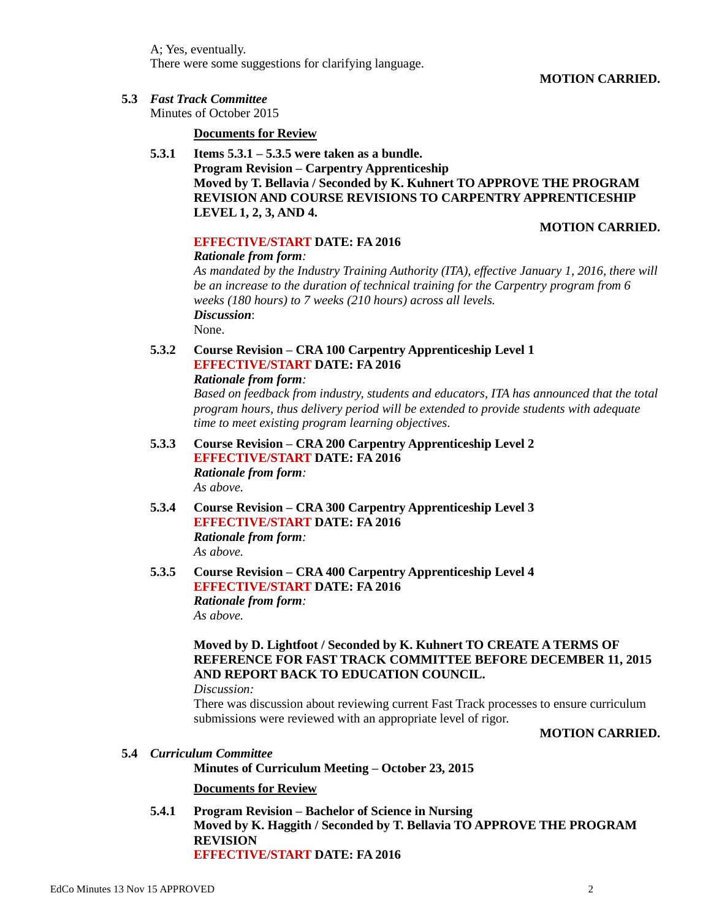A; Yes, eventually. There were some suggestions for clarifying language.

**MOTION CARRIED.**

**5.3** *Fast Track Committee*

Minutes of October 2015

#### **Documents for Review**

**5.3.1 Items 5.3.1 – 5.3.5 were taken as a bundle. Program Revision – Carpentry Apprenticeship Moved by T. Bellavia / Seconded by K. Kuhnert TO APPROVE THE PROGRAM REVISION AND COURSE REVISIONS TO CARPENTRY APPRENTICESHIP LEVEL 1, 2, 3, AND 4.**

#### **MOTION CARRIED.**

## **EFFECTIVE/START DATE: FA 2016**

## *Rationale from form:*

*As mandated by the Industry Training Authority (ITA), effective January 1, 2016, there will be an increase to the duration of technical training for the Carpentry program from 6 weeks (180 hours) to 7 weeks (210 hours) across all levels. Discussion*: None.

# **5.3.2 Course Revision – CRA 100 Carpentry Apprenticeship Level 1 EFFECTIVE/START DATE: FA 2016**

#### *Rationale from form:*

*Based on feedback from industry, students and educators, ITA has announced that the total program hours, thus delivery period will be extended to provide students with adequate time to meet existing program learning objectives.*

- **5.3.3 Course Revision – CRA 200 Carpentry Apprenticeship Level 2 EFFECTIVE/START DATE: FA 2016** *Rationale from form: As above.*
- **5.3.4 Course Revision – CRA 300 Carpentry Apprenticeship Level 3 EFFECTIVE/START DATE: FA 2016** *Rationale from form: As above.*
- **5.3.5 Course Revision – CRA 400 Carpentry Apprenticeship Level 4 EFFECTIVE/START DATE: FA 2016** *Rationale from form: As above.*

# **Moved by D. Lightfoot / Seconded by K. Kuhnert TO CREATE A TERMS OF REFERENCE FOR FAST TRACK COMMITTEE BEFORE DECEMBER 11, 2015 AND REPORT BACK TO EDUCATION COUNCIL.**

*Discussion:*

There was discussion about reviewing current Fast Track processes to ensure curriculum submissions were reviewed with an appropriate level of rigor.

## **MOTION CARRIED.**

#### **5.4** *Curriculum Committee*

**Minutes of Curriculum Meeting – October 23, 2015**

**Documents for Review**

**5.4.1 Program Revision – Bachelor of Science in Nursing Moved by K. Haggith / Seconded by T. Bellavia TO APPROVE THE PROGRAM REVISION EFFECTIVE/START DATE: FA 2016**

EdCo Minutes 13 Nov 15 APPROVED 2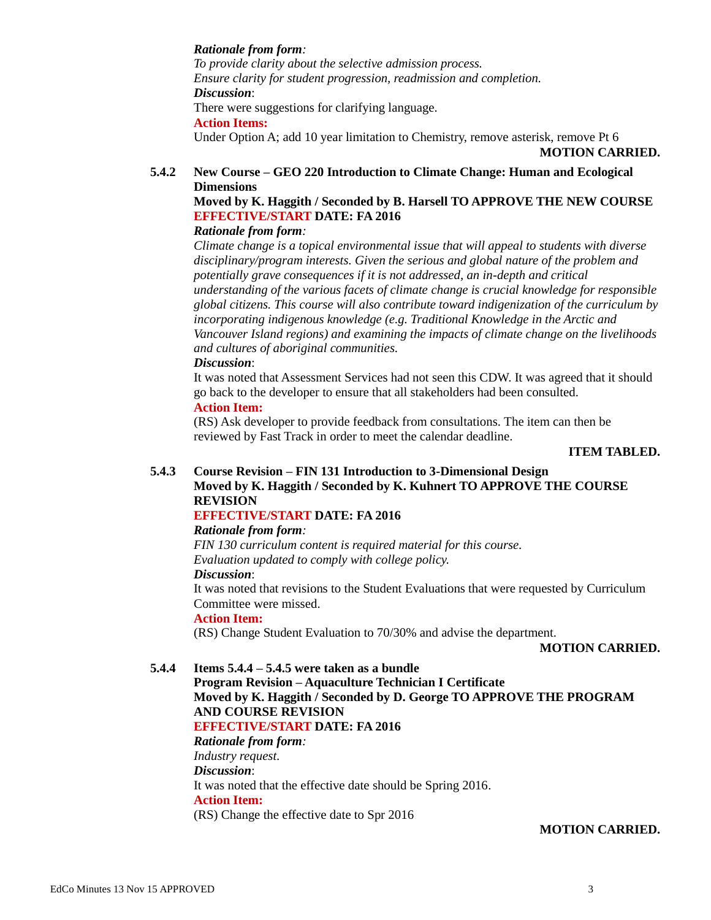#### *Rationale from form:*

*To provide clarity about the selective admission process. Ensure clarity for student progression, readmission and completion. Discussion*: There were suggestions for clarifying language.

**Action Items:**

Under Option A; add 10 year limitation to Chemistry, remove asterisk, remove Pt 6

**MOTION CARRIED.**

# **5.4.2 New Course – GEO 220 Introduction to Climate Change: Human and Ecological Dimensions**

# **Moved by K. Haggith / Seconded by B. Harsell TO APPROVE THE NEW COURSE EFFECTIVE/START DATE: FA 2016**

## *Rationale from form:*

*Climate change is a topical environmental issue that will appeal to students with diverse disciplinary/program interests. Given the serious and global nature of the problem and potentially grave consequences if it is not addressed, an in-depth and critical understanding of the various facets of climate change is crucial knowledge for responsible global citizens. This course will also contribute toward indigenization of the curriculum by incorporating indigenous knowledge (e.g. Traditional Knowledge in the Arctic and Vancouver Island regions) and examining the impacts of climate change on the livelihoods and cultures of aboriginal communities.*

## *Discussion*:

It was noted that Assessment Services had not seen this CDW. It was agreed that it should go back to the developer to ensure that all stakeholders had been consulted.

#### **Action Item:**

(RS) Ask developer to provide feedback from consultations. The item can then be reviewed by Fast Track in order to meet the calendar deadline.

#### **ITEM TABLED.**

#### **5.4.3 Course Revision – FIN 131 Introduction to 3-Dimensional Design Moved by K. Haggith / Seconded by K. Kuhnert TO APPROVE THE COURSE REVISION**

## **EFFECTIVE/START DATE: FA 2016**

#### *Rationale from form:*

*FIN 130 curriculum content is required material for this course. Evaluation updated to comply with college policy.*

# *Discussion*:

It was noted that revisions to the Student Evaluations that were requested by Curriculum Committee were missed.

## **Action Item:**

(RS) Change Student Evaluation to 70/30% and advise the department.

#### **MOTION CARRIED.**

**5.4.4 Items 5.4.4 – 5.4.5 were taken as a bundle Program Revision – Aquaculture Technician I Certificate Moved by K. Haggith / Seconded by D. George TO APPROVE THE PROGRAM AND COURSE REVISION EFFECTIVE/START DATE: FA 2016** *Rationale from form: Industry request. Discussion*: It was noted that the effective date should be Spring 2016. **Action Item:** (RS) Change the effective date to Spr 2016

#### **MOTION CARRIED.**